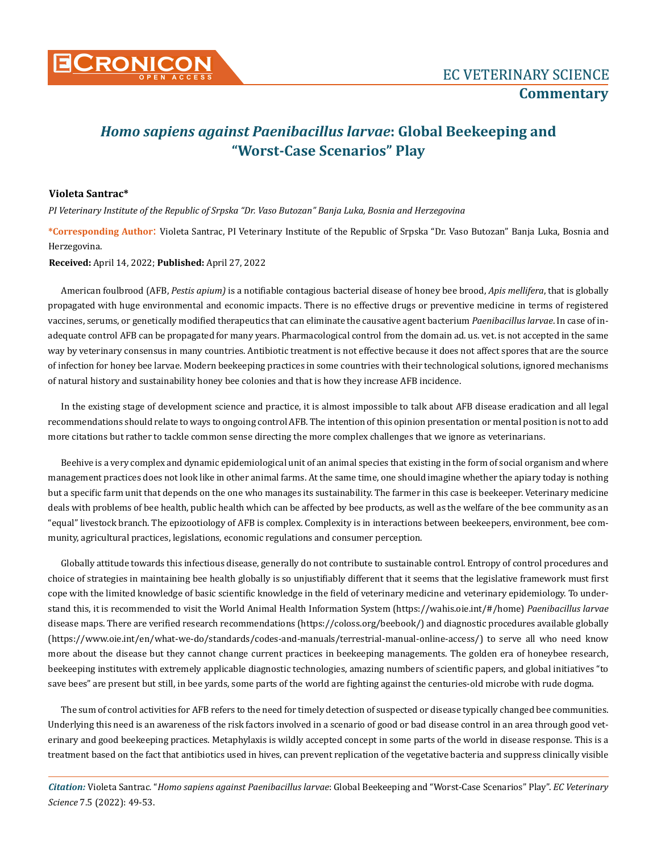

## *Homo sapiens against Paenibacillus larvae***: Global Beekeeping and "Worst-Case Scenarios" Play**

## **Violeta Santrac\***

*PI Veterinary Institute of the Republic of Srpska "Dr. Vaso Butozan" Banja Luka, Bosnia and Herzegovina*

**\*Corresponding Author**: Violeta Santrac, PI Veterinary Institute of the Republic of Srpska "Dr. Vaso Butozan" Banja Luka, Bosnia and Herzegovina.

**Received:** April 14, 2022; **Published:** April 27, 2022

American foulbrood (AFB, *Pestis apium)* is a notifiable contagious bacterial disease of honey bee brood, *Apis mellifera*, that is globally propagated with huge environmental and economic impacts. There is no effective drugs or preventive medicine in terms of registered vaccines, serums, or genetically modified therapeutics that can eliminate the causative agent bacterium *Paenibacillus larvae*. In case of inadequate control AFB can be propagated for many years. Pharmacological control from the domain ad. us. vet. is not accepted in the same way by veterinary consensus in many countries. Antibiotic treatment is not effective because it does not affect spores that are the source of infection for honey bee larvae. Modern beekeeping practices in some countries with their technological solutions, ignored mechanisms of natural history and sustainability honey bee colonies and that is how they increase AFB incidence.

In the existing stage of development science and practice, it is almost impossible to talk about AFB disease eradication and all legal recommendations should relate to ways to ongoing control AFB. The intention of this opinion presentation or mental position is not to add more citations but rather to tackle common sense directing the more complex challenges that we ignore as veterinarians.

Beehive is a very complex and dynamic epidemiological unit of an animal species that existing in the form of social organism and where management practices does not look like in other animal farms. At the same time, one should imagine whether the apiary today is nothing but a specific farm unit that depends on the one who manages its sustainability. The farmer in this case is beekeeper. Veterinary medicine deals with problems of bee health, public health which can be affected by bee products, as well as the welfare of the bee community as an "equal" livestock branch. The epizootiology of AFB is complex. Complexity is in interactions between beekeepers, environment, bee community, agricultural practices, legislations, economic regulations and consumer perception.

Globally attitude towards this infectious disease, generally do not contribute to sustainable control. Entropy of control procedures and choice of strategies in maintaining bee health globally is so unjustifiably different that it seems that the legislative framework must first cope with the limited knowledge of basic scientific knowledge in the field of veterinary medicine and veterinary epidemiology. To understand this, it is recommended to visit the World Animal Health Information System (https://wahis.oie.int/#/home) *Paenibacillus larvae* disease maps. There are verified research recommendations (https://coloss.org/beebook/) and diagnostic procedures available globally (https://www.oie.int/en/what-we-do/standards/codes-and-manuals/terrestrial-manual-online-access/) to serve all who need know more about the disease but they cannot change current practices in beekeeping managements. The golden era of honeybee research, beekeeping institutes with extremely applicable diagnostic technologies, amazing numbers of scientific papers, and global initiatives "to save bees" are present but still, in bee yards, some parts of the world are fighting against the centuries-old microbe with rude dogma.

The sum of control activities for AFB refers to the need for timely detection of suspected or disease typically changed bee communities. Underlying this need is an awareness of the risk factors involved in a scenario of good or bad disease control in an area through good veterinary and good beekeeping practices. Metaphylaxis is wildly accepted concept in some parts of the world in disease response. This is a treatment based on the fact that antibiotics used in hives, can prevent replication of the vegetative bacteria and suppress clinically visible

*Citation:* Violeta Santrac*.* "*Homo sapiens against Paenibacillus larvae*: Global Beekeeping and "Worst-Case Scenarios" Play". *EC Veterinary Science* 7.5 (2022): 49-53.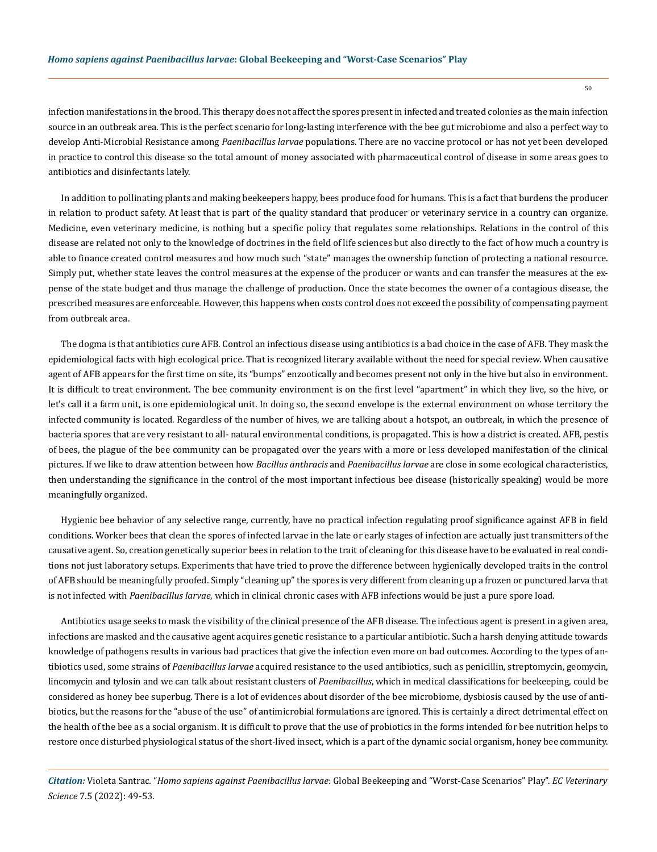infection manifestations in the brood. This therapy does not affect the spores present in infected and treated colonies as the main infection source in an outbreak area. This is the perfect scenario for long-lasting interference with the bee gut microbiome and also a perfect way to develop Anti-Microbial Resistance among *Paenibacillus larvae* populations. There are no vaccine protocol or has not yet been developed in practice to control this disease so the total amount of money associated with pharmaceutical control of disease in some areas goes to antibiotics and disinfectants lately.

In addition to pollinating plants and making beekeepers happy, bees produce food for humans. This is a fact that burdens the producer in relation to product safety. At least that is part of the quality standard that producer or veterinary service in a country can organize. Medicine, even veterinary medicine, is nothing but a specific policy that regulates some relationships. Relations in the control of this disease are related not only to the knowledge of doctrines in the field of life sciences but also directly to the fact of how much a country is able to finance created control measures and how much such "state" manages the ownership function of protecting a national resource. Simply put, whether state leaves the control measures at the expense of the producer or wants and can transfer the measures at the expense of the state budget and thus manage the challenge of production. Once the state becomes the owner of a contagious disease, the prescribed measures are enforceable. However, this happens when costs control does not exceed the possibility of compensating payment from outbreak area.

The dogma is that antibiotics cure AFB. Control an infectious disease using antibiotics is a bad choice in the case of AFB. They mask the epidemiological facts with high ecological price. That is recognized literary available without the need for special review. When causative agent of AFB appears for the first time on site, its "bumps" enzootically and becomes present not only in the hive but also in environment. It is difficult to treat environment. The bee community environment is on the first level "apartment" in which they live, so the hive, or let's call it a farm unit, is one epidemiological unit. In doing so, the second envelope is the external environment on whose territory the infected community is located. Regardless of the number of hives, we are talking about a hotspot, an outbreak, in which the presence of bacteria spores that are very resistant to all- natural environmental conditions, is propagated. This is how a district is created. AFB, pestis of bees, the plague of the bee community can be propagated over the years with a more or less developed manifestation of the clinical pictures. If we like to draw attention between how *Bacillus anthracis* and *Paenibacillus larvae* are close in some ecological characteristics, then understanding the significance in the control of the most important infectious bee disease (historically speaking) would be more meaningfully organized.

Hygienic bee behavior of any selective range, currently, have no practical infection regulating proof significance against AFB in field conditions. Worker bees that clean the spores of infected larvae in the late or early stages of infection are actually just transmitters of the causative agent. So, creation genetically superior bees in relation to the trait of cleaning for this disease have to be evaluated in real conditions not just laboratory setups. Experiments that have tried to prove the difference between hygienically developed traits in the control of AFB should be meaningfully proofed. Simply "cleaning up" the spores is very different from cleaning up a frozen or punctured larva that is not infected with *Paenibacillus larvae*, which in clinical chronic cases with AFB infections would be just a pure spore load.

Antibiotics usage seeks to mask the visibility of the clinical presence of the AFB disease. The infectious agent is present in a given area, infections are masked and the causative agent acquires genetic resistance to a particular antibiotic. Such a harsh denying attitude towards knowledge of pathogens results in various bad practices that give the infection even more on bad outcomes. According to the types of antibiotics used, some strains of *Paenibacillus larvae* acquired resistance to the used antibiotics, such as penicillin, streptomycin, geomycin, lincomycin and tylosin and we can talk about resistant clusters of *Paenibacillus*, which in medical classifications for beekeeping, could be considered as honey bee superbug. There is a lot of evidences about disorder of the bee microbiome, dysbiosis caused by the use of antibiotics, but the reasons for the "abuse of the use" of antimicrobial formulations are ignored. This is certainly a direct detrimental effect on the health of the bee as a social organism. It is difficult to prove that the use of probiotics in the forms intended for bee nutrition helps to restore once disturbed physiological status of the short-lived insect, which is a part of the dynamic social organism, honey bee community.

*Citation:* Violeta Santrac*.* "*Homo sapiens against Paenibacillus larvae*: Global Beekeeping and "Worst-Case Scenarios" Play". *EC Veterinary Science* 7.5 (2022): 49-53.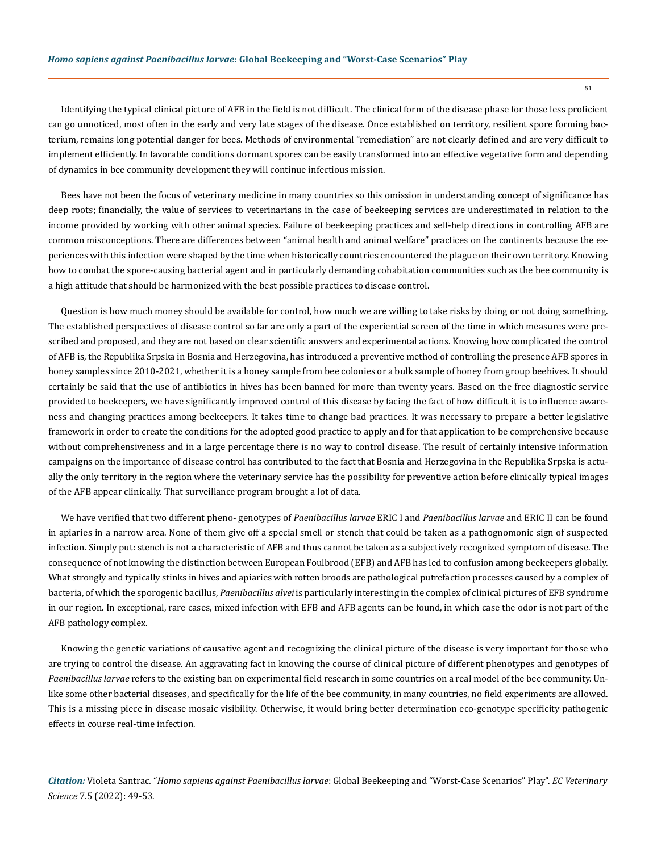Identifying the typical clinical picture of AFB in the field is not difficult. The clinical form of the disease phase for those less proficient can go unnoticed, most often in the early and very late stages of the disease. Once established on territory, resilient spore forming bacterium, remains long potential danger for bees. Methods of environmental "remediation" are not clearly defined and are very difficult to implement efficiently. In favorable conditions dormant spores can be easily transformed into an effective vegetative form and depending of dynamics in bee community development they will continue infectious mission.

Bees have not been the focus of veterinary medicine in many countries so this omission in understanding concept of significance has deep roots; financially, the value of services to veterinarians in the case of beekeeping services are underestimated in relation to the income provided by working with other animal species. Failure of beekeeping practices and self-help directions in controlling AFB are common misconceptions. There are differences between "animal health and animal welfare" practices on the continents because the experiences with this infection were shaped by the time when historically countries encountered the plague on their own territory. Knowing how to combat the spore-causing bacterial agent and in particularly demanding cohabitation communities such as the bee community is a high attitude that should be harmonized with the best possible practices to disease control.

Question is how much money should be available for control, how much we are willing to take risks by doing or not doing something. The established perspectives of disease control so far are only a part of the experiential screen of the time in which measures were prescribed and proposed, and they are not based on clear scientific answers and experimental actions. Knowing how complicated the control of AFB is, the Republika Srpska in Bosnia and Herzegovina, has introduced a preventive method of controlling the presence AFB spores in honey samples since 2010-2021, whether it is a honey sample from bee colonies or a bulk sample of honey from group beehives. It should certainly be said that the use of antibiotics in hives has been banned for more than twenty years. Based on the free diagnostic service provided to beekeepers, we have significantly improved control of this disease by facing the fact of how difficult it is to influence awareness and changing practices among beekeepers. It takes time to change bad practices. It was necessary to prepare a better legislative framework in order to create the conditions for the adopted good practice to apply and for that application to be comprehensive because without comprehensiveness and in a large percentage there is no way to control disease. The result of certainly intensive information campaigns on the importance of disease control has contributed to the fact that Bosnia and Herzegovina in the Republika Srpska is actually the only territory in the region where the veterinary service has the possibility for preventive action before clinically typical images of the AFB appear clinically. That surveillance program brought a lot of data.

We have verified that two different pheno- genotypes of *Paenibacillus larvae* ERIC I and *Paenibacillus larvae* and ERIC II can be found in apiaries in a narrow area. None of them give off a special smell or stench that could be taken as a pathognomonic sign of suspected infection. Simply put: stench is not a characteristic of AFB and thus cannot be taken as a subjectively recognized symptom of disease. The consequence of not knowing the distinction between European Foulbrood (EFB) and AFB has led to confusion among beekeepers globally. What strongly and typically stinks in hives and apiaries with rotten broods are pathological putrefaction processes caused by a complex of bacteria, of which the sporogenic bacillus, *Paenibacillus alvei* is particularly interesting in the complex of clinical pictures of EFB syndrome in our region. In exceptional, rare cases, mixed infection with EFB and AFB agents can be found, in which case the odor is not part of the AFB pathology complex.

Knowing the genetic variations of causative agent and recognizing the clinical picture of the disease is very important for those who are trying to control the disease. An aggravating fact in knowing the course of clinical picture of different phenotypes and genotypes of *Paenibacillus larvae* refers to the existing ban on experimental field research in some countries on a real model of the bee community. Unlike some other bacterial diseases, and specifically for the life of the bee community, in many countries, no field experiments are allowed. This is a missing piece in disease mosaic visibility. Otherwise, it would bring better determination eco-genotype specificity pathogenic effects in course real-time infection.

*Citation:* Violeta Santrac*.* "*Homo sapiens against Paenibacillus larvae*: Global Beekeeping and "Worst-Case Scenarios" Play". *EC Veterinary Science* 7.5 (2022): 49-53.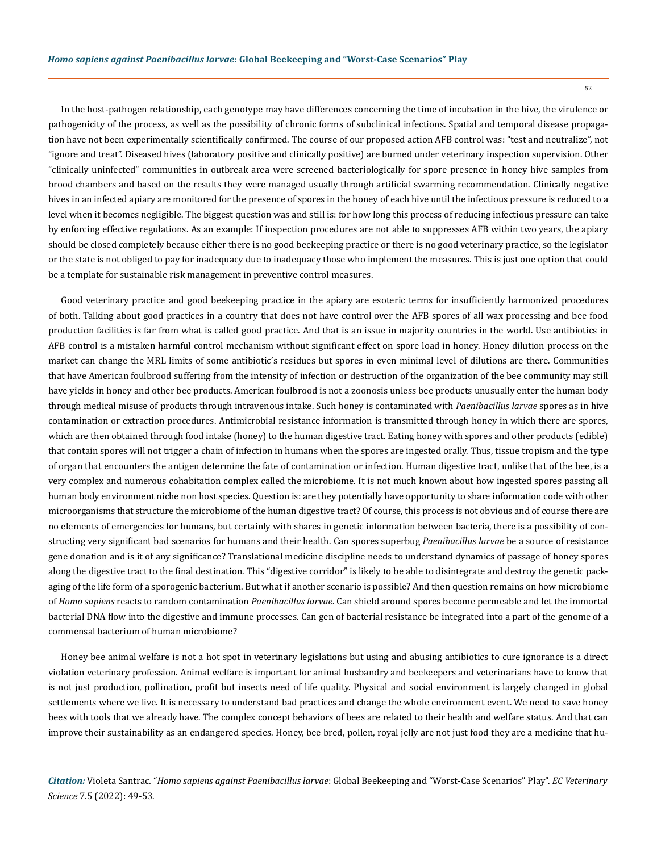In the host-pathogen relationship, each genotype may have differences concerning the time of incubation in the hive, the virulence or pathogenicity of the process, as well as the possibility of chronic forms of subclinical infections. Spatial and temporal disease propagation have not been experimentally scientifically confirmed. The course of our proposed action AFB control was: "test and neutralize", not "ignore and treat". Diseased hives (laboratory positive and clinically positive) are burned under veterinary inspection supervision. Other "clinically uninfected" communities in outbreak area were screened bacteriologically for spore presence in honey hive samples from brood chambers and based on the results they were managed usually through artificial swarming recommendation. Clinically negative hives in an infected apiary are monitored for the presence of spores in the honey of each hive until the infectious pressure is reduced to a level when it becomes negligible. The biggest question was and still is: for how long this process of reducing infectious pressure can take by enforcing effective regulations. As an example: If inspection procedures are not able to suppresses AFB within two years, the apiary should be closed completely because either there is no good beekeeping practice or there is no good veterinary practice, so the legislator or the state is not obliged to pay for inadequacy due to inadequacy those who implement the measures. This is just one option that could be a template for sustainable risk management in preventive control measures.

Good veterinary practice and good beekeeping practice in the apiary are esoteric terms for insufficiently harmonized procedures of both. Talking about good practices in a country that does not have control over the AFB spores of all wax processing and bee food production facilities is far from what is called good practice. And that is an issue in majority countries in the world. Use antibiotics in AFB control is a mistaken harmful control mechanism without significant effect on spore load in honey. Honey dilution process on the market can change the MRL limits of some antibiotic's residues but spores in even minimal level of dilutions are there. Communities that have American foulbrood suffering from the intensity of infection or destruction of the organization of the bee community may still have yields in honey and other bee products. American foulbrood is not a zoonosis unless bee products unusually enter the human body through medical misuse of products through intravenous intake. Such honey is contaminated with *Paenibacillus larvae* spores as in hive contamination or extraction procedures. Antimicrobial resistance information is transmitted through honey in which there are spores, which are then obtained through food intake (honey) to the human digestive tract. Eating honey with spores and other products (edible) that contain spores will not trigger a chain of infection in humans when the spores are ingested orally. Thus, tissue tropism and the type of organ that encounters the antigen determine the fate of contamination or infection. Human digestive tract, unlike that of the bee, is a very complex and numerous cohabitation complex called the microbiome. It is not much known about how ingested spores passing all human body environment niche non host species. Question is: are they potentially have opportunity to share information code with other microorganisms that structure the microbiome of the human digestive tract? Of course, this process is not obvious and of course there are no elements of emergencies for humans, but certainly with shares in genetic information between bacteria, there is a possibility of constructing very significant bad scenarios for humans and their health. Can spores superbug *Paenibacillus larvae* be a source of resistance gene donation and is it of any significance? Translational medicine discipline needs to understand dynamics of passage of honey spores along the digestive tract to the final destination. This "digestive corridor" is likely to be able to disintegrate and destroy the genetic packaging of the life form of a sporogenic bacterium. But what if another scenario is possible? And then question remains on how microbiome of *Homo sapiens* reacts to random contamination *Paenibacillus larvae*. Can shield around spores become permeable and let the immortal bacterial DNA flow into the digestive and immune processes. Can gen of bacterial resistance be integrated into a part of the genome of a commensal bacterium of human microbiome?

Honey bee animal welfare is not a hot spot in veterinary legislations but using and abusing antibiotics to cure ignorance is a direct violation veterinary profession. Animal welfare is important for animal husbandry and beekeepers and veterinarians have to know that is not just production, pollination, profit but insects need of life quality. Physical and social environment is largely changed in global settlements where we live. It is necessary to understand bad practices and change the whole environment event. We need to save honey bees with tools that we already have. The complex concept behaviors of bees are related to their health and welfare status. And that can improve their sustainability as an endangered species. Honey, bee bred, pollen, royal jelly are not just food they are a medicine that hu-

*Citation:* Violeta Santrac*.* "*Homo sapiens against Paenibacillus larvae*: Global Beekeeping and "Worst-Case Scenarios" Play". *EC Veterinary Science* 7.5 (2022): 49-53.